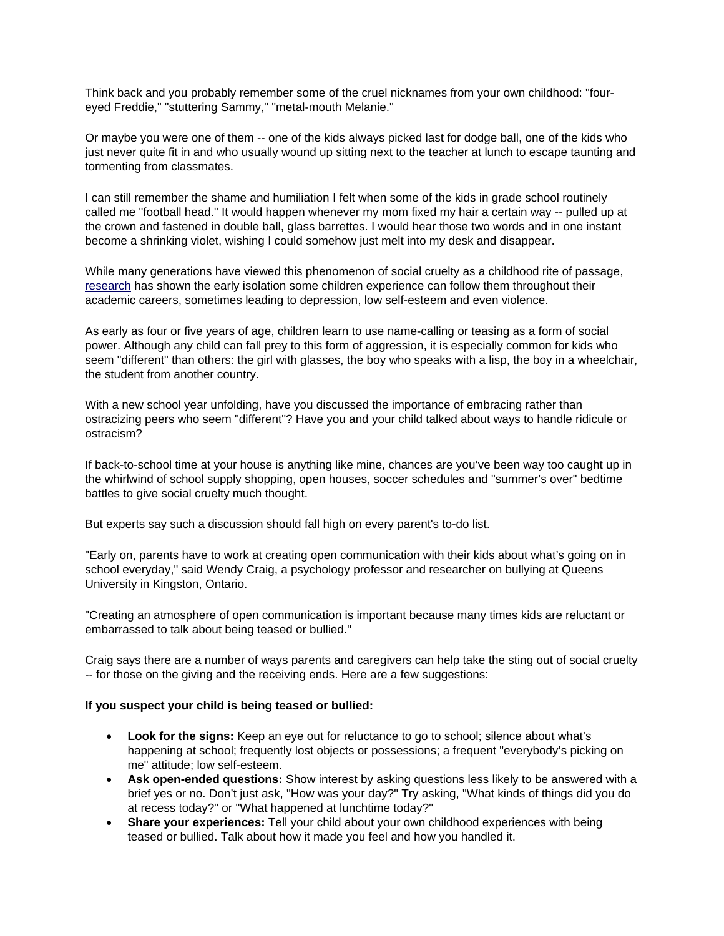Think back and you probably remember some of the cruel nicknames from your own childhood: "foureyed Freddie," "stuttering Sammy," "metal-mouth Melanie."

Or maybe you were one of them -- one of the kids always picked last for dodge ball, one of the kids who just never quite fit in and who usually wound up sitting next to the teacher at lunch to escape taunting and tormenting from classmates.

I can still remember the shame and humiliation I felt when some of the kids in grade school routinely called me "football head." It would happen whenever my mom fixed my hair a certain way -- pulled up at the crown and fastened in double ball, glass barrettes. I would hear those two words and in one instant become a shrinking violet, wishing I could somehow just melt into my desk and disappear.

While many generations have viewed this phenomenon of social cruelty as a childhood rite of passage, research has shown the early isolation some children experience can follow them throughout their academic careers, sometimes leading to depression, low self-esteem and even violence.

As early as four or five years of age, children learn to use name-calling or teasing as a form of social power. Although any child can fall prey to this form of aggression, it is especially common for kids who seem "different" than others: the girl with glasses, the boy who speaks with a lisp, the boy in a wheelchair, the student from another country.

With a new school year unfolding, have you discussed the importance of embracing rather than ostracizing peers who seem "different"? Have you and your child talked about ways to handle ridicule or ostracism?

If back-to-school time at your house is anything like mine, chances are you've been way too caught up in the whirlwind of school supply shopping, open houses, soccer schedules and "summer's over" bedtime battles to give social cruelty much thought.

But experts say such a discussion should fall high on every parent's to-do list.

"Early on, parents have to work at creating open communication with their kids about what's going on in school everyday," said Wendy Craig, a psychology professor and researcher on bullying at Queens University in Kingston, Ontario.

"Creating an atmosphere of open communication is important because many times kids are reluctant or embarrassed to talk about being teased or bullied."

Craig says there are a number of ways parents and caregivers can help take the sting out of social cruelty -- for those on the giving and the receiving ends. Here are a few suggestions:

## **If you suspect your child is being teased or bullied:**

- **Look for the signs:** Keep an eye out for reluctance to go to school; silence about what's happening at school; frequently lost objects or possessions; a frequent "everybody's picking on me" attitude; low self-esteem.
- **Ask open-ended questions:** Show interest by asking questions less likely to be answered with a brief yes or no. Don't just ask, "How was your day?" Try asking, "What kinds of things did you do at recess today?" or "What happened at lunchtime today?"
- **Share your experiences:** Tell your child about your own childhood experiences with being teased or bullied. Talk about how it made you feel and how you handled it.